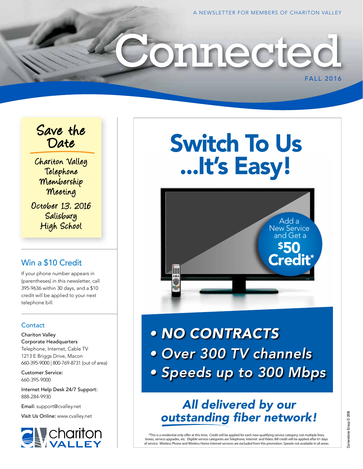FALL 2016

### Save the Date

Chariton Valley Telephone Membership Meeting October 13, 2016 **Salisbury** High School

### Win a \$10 Credit

If your phone number appears in (parentheses) in this newsletter, call 395-9636 within 30 days, and a \$10 credit will be applied to your next telephone bill.

#### **Contact**

Chariton Valley Corporate Headquarters Telephone, Internet, Cable TV 1213 E Briggs Drive, Macon 660-395-9000 | 800-769-8731 (out of area)

Customer Service: 660-395-9000

Internet Help Desk 24/7 Support: 888-284-9930

Email: support@cvalley.net

Visit Us Online: www.cvalley.net



# Switch To Us ...It's Easy!

onnected



*• NO CONTRACTS • Over 300 TV channels • Speeds up to 300 Mbps*

## *All delivered by our*  outstanding fiber network!

\*This is a residential only offer at this time. Credit will be applied for each new qualifying service category, not multiple lines, boxes, service upgrades, etc. Eligible service categories are Telephone, Internet and Video. Bill credit will be applied after 61 days of service. Wireless Phone and Wireless Home Internet services are excluded from this promotion. Speeds not available in all areas.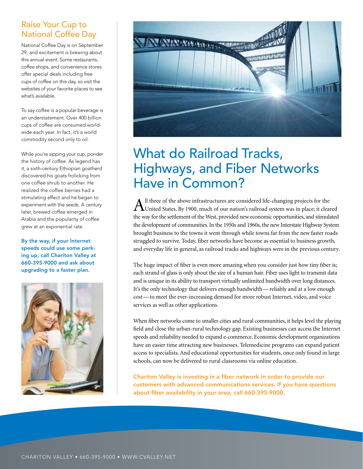### Raise Your Cup to National Coffee Day

National Coffee Day is on September 29, and excitement is brewing about this annual event. Some restaurants, coffee shops, and convenience stores offer special deals including free cups of coffee on this day, so visit the websites of your favorite places to see what's available.

To say coffee is a popular beverage is an understatement. Over 400 billion cups of coffee are consumed worldwide each year. In fact, it's a world commodity second only to oil.

While you're sipping your cup, ponder the history of coffee. As legend has it, a sixth-century Ethiopian goatherd discovered his goats frolicking from one coffee shrub to another. He realized the coffee berries had a stimulating effect and he began to experiment with the seeds. A century later, brewed coffee emerged in Arabia and the popularity of coffee grew at an exponential rate.

By the way, if your Internet speeds could use some perking up, call Chariton Valley at 660-395-9000 and ask about upgrading to a faster plan.





# What do Railroad Tracks, Highways, and Fiber Networks Have in Common?

All three of the above infrastructures are considered life-changing projects for the United States. By 1900, much of our nation's railroad system was in place; it cleared the way for the settlement of the West, provided new economic opportunities, and stimulated the development of communities. In the 1950s and 1960s, the new Interstate Highway System brought business to the towns it went through while towns far from the new faster roads struggled to survive. Today, fiber networks have become as essential to business growth, and everyday life in general, as railroad tracks and highways were in the previous century.

The huge impact of fiber is even more amazing when you consider just how tiny fiber is; each strand of glass is only about the size of a human hair. Fiber uses light to transmit data and is unique in its ability to transport virtually unlimited bandwidth over long distances. It's the only technology that delivers enough bandwidth—reliably and at a low enough cost—to meet the ever-increasing demand for more robust Internet, video, and voice services as well as other applications.

When fiber networks come to smaller cities and rural communities, it helps level the playing field and close the urban-rural technology gap. Existing businesses can access the Internet speeds and reliability needed to expand e-commerce. Economic development organizations have an easier time attracting new businesses. Telemedicine programs can expand patient access to specialists. And educational opportunities for students, once only found in large schools, can now be delivered to rural classrooms via online education.

Chariton Valley is investing in a fiber network in order to provide our customers with advanced communications services. If you have questions about fiber availability in your area, call 660-395-9000.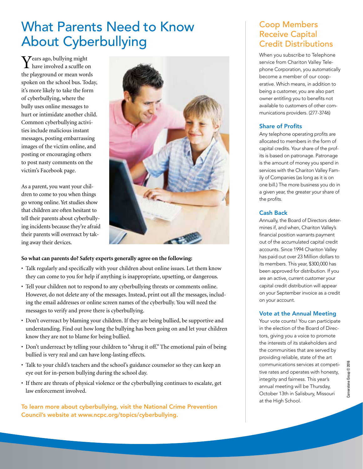# What Parents Need to Know About Cyberbullying

 $\boldsymbol{Y}$ ears ago, bullying might have involved a scuffle on the playground or mean words spoken on the school bus. Today, it's more likely to take the form of cyberbullying, where the bully uses online messages to hurt or intimidate another child. Common cyberbullying activities include malicious instant messages, posting embarrassing images of the victim online, and posting or encouraging others to post nasty comments on the victim's Facebook page.

As a parent, you want your children to come to you when things go wrong online. Yet studies show that children are often hesitant to tell their parents about cyberbullying incidents because they're afraid their parents will overreact by taking away their devices.



#### **So what can parents do? Safety experts generally agree on the following:**

- Talk regularly and specifically with your children about online issues. Let them know they can come to you for help if anything is inappropriate, upsetting, or dangerous.
- Tell your children not to respond to any cyberbullying threats or comments online. However, do not delete any of the messages. Instead, print out all the messages, including the email addresses or online screen names of the cyberbully. You will need the messages to verify and prove there is cyberbullying.
- Don't overreact by blaming your children. If they are being bullied, be supportive and understanding. Find out how long the bullying has been going on and let your children know they are not to blame for being bullied.
- Don't underreact by telling your children to "shrug it off." The emotional pain of being bullied is very real and can have long-lasting effects.
- Talk to your child's teachers and the school's guidance counselor so they can keep an eye out for in-person bullying during the school day.
- If there are threats of physical violence or the cyberbullying continues to escalate, get law enforcement involved.

To learn more about cyberbullying, visit the National Crime Prevention Council's website at www.ncpc.org/topics/cyberbullying.

### Coop Members Receive Capital Credit Distributions

When you subscribe to Telephone service from Chariton Valley Telephone Corporation, you automatically become a member of our cooperative. Which means, in addition to being a customer, you are also part owner entitling you to benefits not available to customers of other communications providers. (277-3746)

#### Share of Profits

Any telephone operating profits are allocated to members in the form of capital credits. Your share of the profits is based on patronage. Patronage is the amount of money you spend in services with the Chariton Valley Family of Companies (as long as it is on one bill.) The more business you do in a given year, the greater your share of the profits.

#### Cash Back

Annually, the Board of Directors determines if, and when, Chariton Valley's financial position warrants payment out of the accumulated capital credit accounts. Since 1994 Chariton Valley has paid out over 23 Million dollars to its members. This year, \$300,000 has been approved for distribution. If you are an active, current customer your capital credit distribution will appear on your September invoice as a credit on your account.

#### Vote at the Annual Meeting

Your vote counts! You can participate in the election of the Board of Directors, giving you a voice to promote the interests of its stakeholders and the communities that are served by providing reliable, state of the art communications services at competitive rates and operates with honesty, integrity and fairness. This year's annual meeting will be Thursday, October 13th in Salisbury, Missouri at the High School.